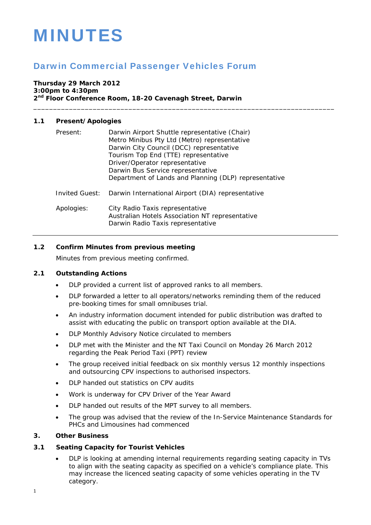# MINUTES

# Darwin Commercial Passenger Vehicles Forum

#### **Thursday 29 March 2012 3:00pm to 4:30pm 2nd Floor Conference Room, 18-20 Cavenagh Street, Darwin**

# **1.1 Present/Apologies**

| Present:       | Darwin Airport Shuttle representative (Chair)<br>Metro Minibus Pty Ltd (Metro) representative<br>Darwin City Council (DCC) representative<br>Tourism Top End (TTE) representative<br>Driver/Operator representative<br>Darwin Bus Service representative<br>Department of Lands and Planning (DLP) representative |
|----------------|-------------------------------------------------------------------------------------------------------------------------------------------------------------------------------------------------------------------------------------------------------------------------------------------------------------------|
| Invited Guest: | Darwin International Airport (DIA) representative                                                                                                                                                                                                                                                                 |
| Apologies:     | City Radio Taxis representative<br>Australian Hotels Association NT representative<br>Darwin Radio Taxis representative                                                                                                                                                                                           |

\_\_\_\_\_\_\_\_\_\_\_\_\_\_\_\_\_\_\_\_\_\_\_\_\_\_\_\_\_\_\_\_\_\_\_\_\_\_\_\_\_\_\_\_\_\_\_\_\_\_\_\_\_\_\_\_\_\_\_\_\_\_\_\_\_\_\_\_\_\_\_\_\_\_\_\_

### **1.2 Confirm Minutes from previous meeting**

Minutes from previous meeting confirmed.

#### **2.1 Outstanding Actions**

- DLP provided a current list of approved ranks to all members.
- DLP forwarded a letter to all operators/networks reminding them of the reduced pre-booking times for small omnibuses trial.
- An industry information document intended for public distribution was drafted to assist with educating the public on transport option available at the DIA.
- DLP Monthly Advisory Notice circulated to members
- DLP met with the Minister and the NT Taxi Council on Monday 26 March 2012 regarding the Peak Period Taxi (PPT) review
- The group received initial feedback on six monthly versus 12 monthly inspections and outsourcing CPV inspections to authorised inspectors.
- DLP handed out statistics on CPV audits
- Work is underway for CPV Driver of the Year Award
- DLP handed out results of the MPT survey to all members.
- The group was advised that the review of the In-Service Maintenance Standards for PHCs and Limousines had commenced

#### **3. Other Business**

#### **3.1 Seating Capacity for Tourist Vehicles**

 DLP is looking at amending internal requirements regarding seating capacity in TVs to align with the seating capacity as specified on a vehicle's compliance plate. This may increase the licenced seating capacity of some vehicles operating in the TV category.